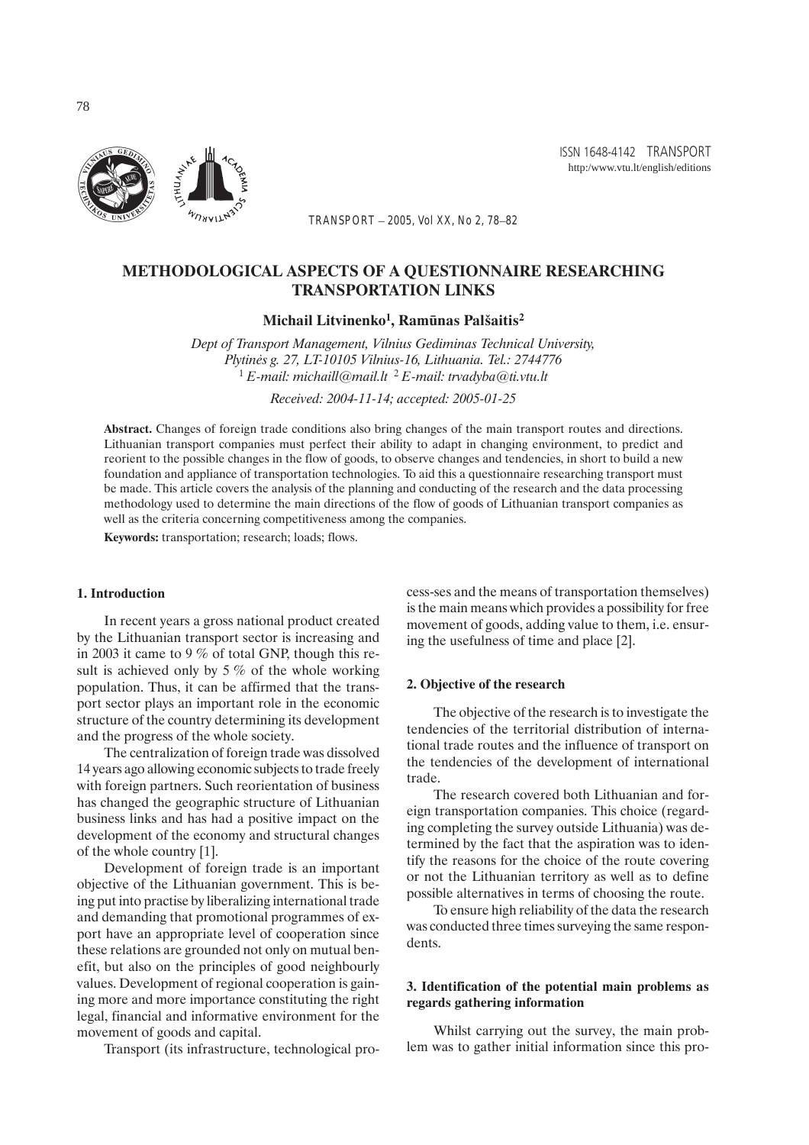*TRANSPORT – 2005, Vol XX, No 2, 78–82*

# METHODOLOGICAL ASPECTS OF A QUESTIONNAIRE RESEARCHING TRANSPORTATION LINKS

Michail Litvinenko<sup>1</sup>, Ramūnas Palšaitis<sup>2</sup>

*Dept of Transport Management, Vilnius Gediminas Technical University, Plytinės g. 27, LT-10105 Vilnius-16, Lithuania. Tel.: 2744776* <sup>1</sup> *E-mail: michaill@mail.lt* <sup>2</sup> *E-mail: trvadyba@ti.vtu.lt Received: 2004-11-14; accepted: 2005-01-25*

Abstract. Changes of foreign trade conditions also bring changes of the main transport routes and directions. Lithuanian transport companies must perfect their ability to adapt in changing environment, to predict and reorient to the possible changes in the flow of goods, to observe changes and tendencies, in short to build a new foundation and appliance of transportation technologies. To aid this a questionnaire researching transport must be made. This article covers the analysis of the planning and conducting of the research and the data processing methodology used to determine the main directions of the flow of goods of Lithuanian transport companies as well as the criteria concerning competitiveness among the companies.

Keywords: transportation; research; loads; flows.

### 1. Introduction

In recent years a gross national product created by the Lithuanian transport sector is increasing and in 2003 it came to 9 % of total GNP, though this result is achieved only by  $5\%$  of the whole working population. Thus, it can be affirmed that the transport sector plays an important role in the economic structure of the country determining its development and the progress of the whole society.

The centralization of foreign trade was dissolved 14 years ago allowing economic subjects to trade freely with foreign partners. Such reorientation of business has changed the geographic structure of Lithuanian business links and has had a positive impact on the development of the economy and structural changes of the whole country [1].

Development of foreign trade is an important objective of the Lithuanian government. This is being put into practise by liberalizing international trade and demanding that promotional programmes of export have an appropriate level of cooperation since these relations are grounded not only on mutual benefit, but also on the principles of good neighbourly values. Development of regional cooperation is gaining more and more importance constituting the right legal, financial and informative environment for the movement of goods and capital.

Transport (its infrastructure, technological pro-

cess-ses and the means of transportation themselves) is the main means which provides a possibility for free movement of goods, adding value to them, i.e. ensuring the usefulness of time and place [2].

#### 2. Objective of the research

The objective of the research is to investigate the tendencies of the territorial distribution of international trade routes and the influence of transport on the tendencies of the development of international trade.

The research covered both Lithuanian and foreign transportation companies. This choice (regarding completing the survey outside Lithuania) was determined by the fact that the aspiration was to identify the reasons for the choice of the route covering or not the Lithuanian territory as well as to define possible alternatives in terms of choosing the route.

To ensure high reliability of the data the research was conducted three times surveying the same respondents.

### 3. Identification of the potential main problems as regards gathering information

Whilst carrying out the survey, the main problem was to gather initial information since this pro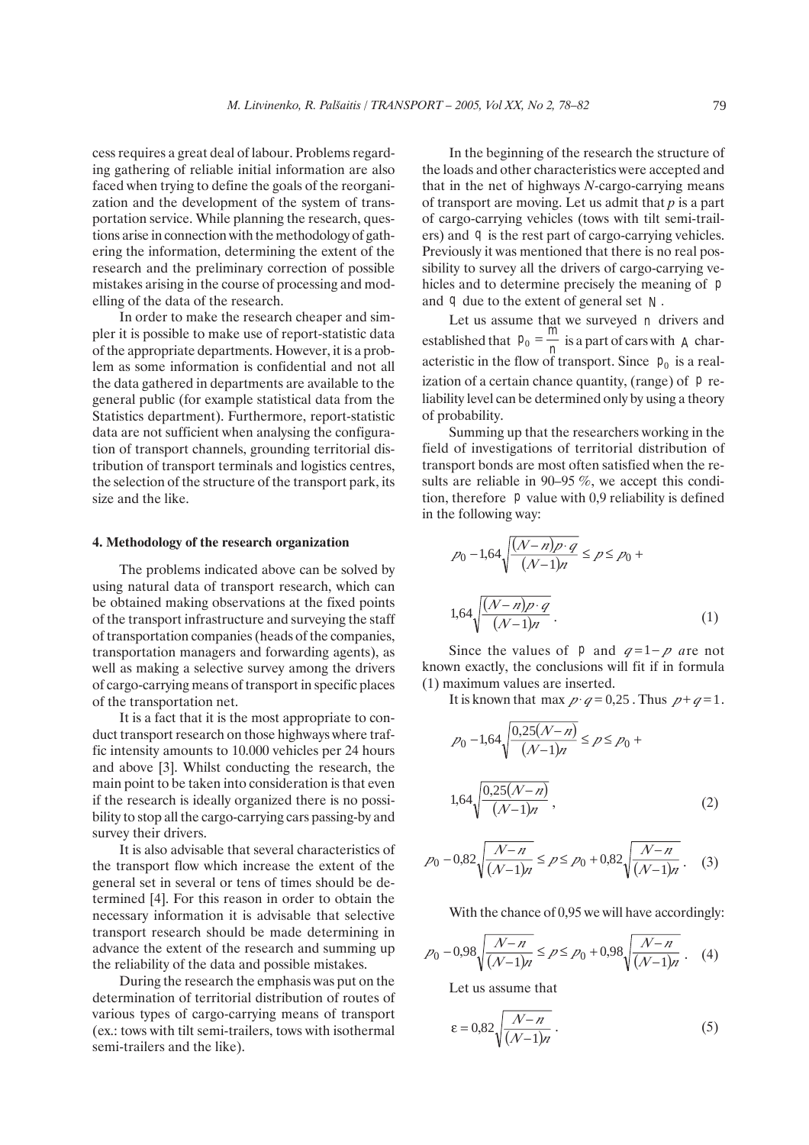cess requires a great deal of labour. Problems regarding gathering of reliable initial information are also faced when trying to define the goals of the reorganization and the development of the system of transportation service. While planning the research, questions arise in connection with the methodology of gathering the information, determining the extent of the research and the preliminary correction of possible mistakes arising in the course of processing and modelling of the data of the research.

In order to make the research cheaper and simpler it is possible to make use of report-statistic data of the appropriate departments. However, it is a problem as some information is confidential and not all the data gathered in departments are available to the general public (for example statistical data from the Statistics department). Furthermore, report-statistic data are not sufficient when analysing the configuration of transport channels, grounding territorial distribution of transport terminals and logistics centres, the selection of the structure of the transport park, its size and the like.

### 4. Methodology of the research organization

The problems indicated above can be solved by using natural data of transport research, which can be obtained making observations at the fixed points of the transport infrastructure and surveying the staff of transportation companies (heads of the companies, transportation managers and forwarding agents), as well as making a selective survey among the drivers of cargo-carrying means of transport in specific places of the transportation net.

It is a fact that it is the most appropriate to conduct transport research on those highways where traffic intensity amounts to 10.000 vehicles per 24 hours and above [3]. Whilst conducting the research, the main point to be taken into consideration is that even if the research is ideally organized there is no possibility to stop all the cargo-carrying cars passing-by and survey their drivers.

It is also advisable that several characteristics of the transport flow which increase the extent of the general set in several or tens of times should be determined [4]. For this reason in order to obtain the necessary information it is advisable that selective transport research should be made determining in advance the extent of the research and summing up the reliability of the data and possible mistakes.

During the research the emphasis was put on the determination of territorial distribution of routes of various types of cargo-carrying means of transport (ex.: tows with tilt semi-trailers, tows with isothermal semi-trailers and the like).

In the beginning of the research the structure of the loads and other characteristics were accepted and that in the net of highways *N-*cargo-carrying means of transport are moving. Let us admit that *p* is a part of cargo-carrying vehicles (tows with tilt semi-trailers) and *q* is the rest part of cargo-carrying vehicles. Previously it was mentioned that there is no real possibility to survey all the drivers of cargo-carrying vehicles and to determine precisely the meaning of *p* and *q* due to the extent of general set *N .*

Let us assume that we surveyed *n* drivers and established that  $p_0 = \frac{m}{n}$  is a part of cars with *A* characteristic in the flow of transport. Since  $p_0$  is a realization of a certain chance quantity, (range) of *p* reliability level can be determined only by using a theory of probability.

Summing up that the researchers working in the field of investigations of territorial distribution of transport bonds are most often satisfied when the results are reliable in 90–95 %, we accept this condition, therefore *p* value with 0,9 reliability is defined in the following way:

$$
p_0 - 1,64 \sqrt{\frac{(N-n)p \cdot q}{(N-1)n}} \le p \le p_0 +
$$
  

$$
1,64 \sqrt{\frac{(N-n)p \cdot q}{(N-1)n}}.
$$
 (1)

Since the values of *p* and  $q=1-p$  are not known exactly, the conclusions will fit if in formula (1) maximum values are inserted.

It is known that max  $p \cdot q = 0.25$ . Thus  $p + q = 1$ .

$$
p_0 - 1,64\sqrt{\frac{0,25(N-n)}{(N-1)n}} \le p \le p_0 +
$$
  

$$
1,64\sqrt{\frac{0,25(N-n)}{(N-1)n}},
$$
 (2)

$$
p_0 - 0.82 \sqrt{\frac{N-n}{(N-1)n}} \le p \le p_0 + 0.82 \sqrt{\frac{N-n}{(N-1)n}}. \quad (3)
$$

With the chance of 0,95 we will have accordingly:

$$
p_0 - 0.98\sqrt{\frac{N-n}{(N-1)n}} \le p \le p_0 + 0.98\sqrt{\frac{N-n}{(N-1)n}}.
$$
 (4)

Let us assume that

$$
\varepsilon = 0.82 \sqrt{\frac{N-n}{(N-1)n}}\,. \tag{5}
$$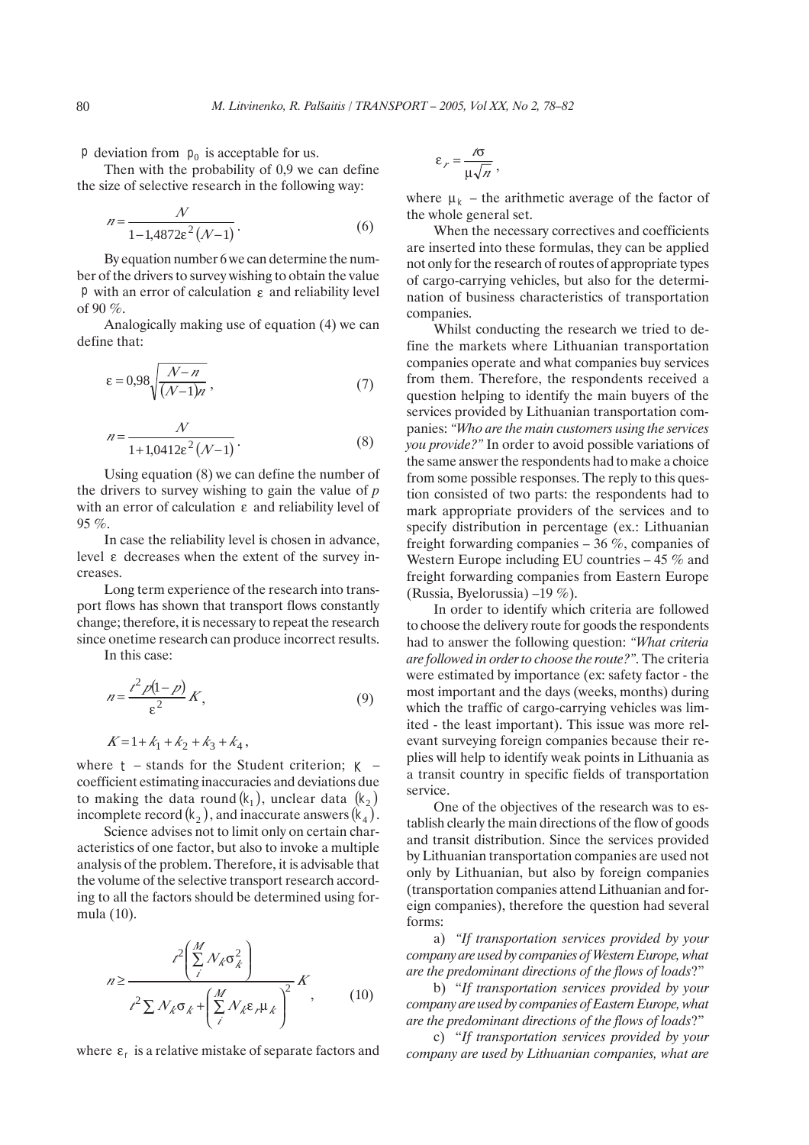*p* deviation from  $p_0$  is acceptable for us.

Then with the probability of 0,9 we can define the size of selective research in the following way:

$$
n = \frac{N}{1 - 1.4872 \varepsilon^2 (N - 1)}.
$$
\n(6)

By equation number 6 we can determine the number of the drivers to survey wishing to obtain the value *p* with an error of calculation ε and reliability level of 90 $\%$ .

Analogically making use of equation (4) we can define that:

$$
\varepsilon = 0.98 \sqrt{\frac{\mathcal{N} - n}{(\mathcal{N} - 1)n}},\tag{7}
$$

$$
n = \frac{N}{1 + 1,0412\varepsilon^2 (N - 1)}.
$$
 (8)

Using equation (8) we can define the number of the drivers to survey wishing to gain the value of *p* with an error of calculation ε and reliability level of 95 %.

In case the reliability level is chosen in advance, level ε decreases when the extent of the survey increases.

Long term experience of the research into transport flows has shown that transport flows constantly change; therefore, it is necessary to repeat the research since onetime research can produce incorrect results.

In this case:

$$
n = \frac{t^2 p(1-p)}{\varepsilon^2} K,\tag{9}
$$

$$
K = 1 + k_1 + k_2 + k_3 + k_4,
$$

where  $t$  – stands for the Student criterion;  $K$  – coefficient estimating inaccuracies and deviations due to making the data round  $(k_1)$ , unclear data  $(k_2)$ incomplete record  $(k_2)$ , and inaccurate answers  $(k_4)$ .

Science advises not to limit only on certain characteristics of one factor, but also to invoke a multiple analysis of the problem. Therefore, it is advisable that the volume of the selective transport research according to all the factors should be determined using formula (10).

$$
n \ge \frac{t^2 \left(\sum_{i}^{M} N_{k} \sigma_{k}^{2}\right)}{t^2 \sum N_{k} \sigma_{k} + \left(\sum_{i}^{M} N_{k} \epsilon_{i} \mu_{k}\right)^{2}} K
$$
\n(10)

where  $\varepsilon_r$  is a relative mistake of separate factors and

$$
\varepsilon_r = \frac{r\sigma}{\mu\sqrt{n}},
$$

where  $\mu_k$  – the arithmetic average of the factor of the whole general set.

When the necessary correctives and coefficients are inserted into these formulas, they can be applied not only for the research of routes of appropriate types of cargo-carrying vehicles, but also for the determination of business characteristics of transportation companies.

Whilst conducting the research we tried to define the markets where Lithuanian transportation companies operate and what companies buy services from them. Therefore, the respondents received a question helping to identify the main buyers of the services provided by Lithuanian transportation companies: *"Who are the main customers using the services you provide?"* In order to avoid possible variations of the same answer the respondents had to make a choice from some possible responses. The reply to this question consisted of two parts: the respondents had to mark appropriate providers of the services and to specify distribution in percentage (ex.: Lithuanian freight forwarding companies  $-36\%$ , companies of Western Europe including EU countries  $-45\%$  and freight forwarding companies from Eastern Europe (Russia, Byelorussia) –19 %).

In order to identify which criteria are followed to choose the delivery route for goods the respondents had to answer the following question: *"What criteria are followed in order to choose the route?"*. The criteria were estimated by importance (ex: safety factor - the most important and the days (weeks, months) during which the traffic of cargo-carrying vehicles was limited - the least important). This issue was more relevant surveying foreign companies because their replies will help to identify weak points in Lithuania as a transit country in specific fields of transportation service.

One of the objectives of the research was to establish clearly the main directions of the flow of goods and transit distribution. Since the services provided by Lithuanian transportation companies are used not only by Lithuanian, but also by foreign companies (transportation companies attend Lithuanian and foreign companies), therefore the question had several forms:

a) *"If transportation services provided by your company are used by companies of Western Europe, what are the predominant directions of the flows of loads*?"

b) "*If transportation services provided by your company are used by companies of Eastern Europe, what are the predominant directions of the flows of loads*?"

c) "*If transportation services provided by your company are used by Lithuanian companies, what are*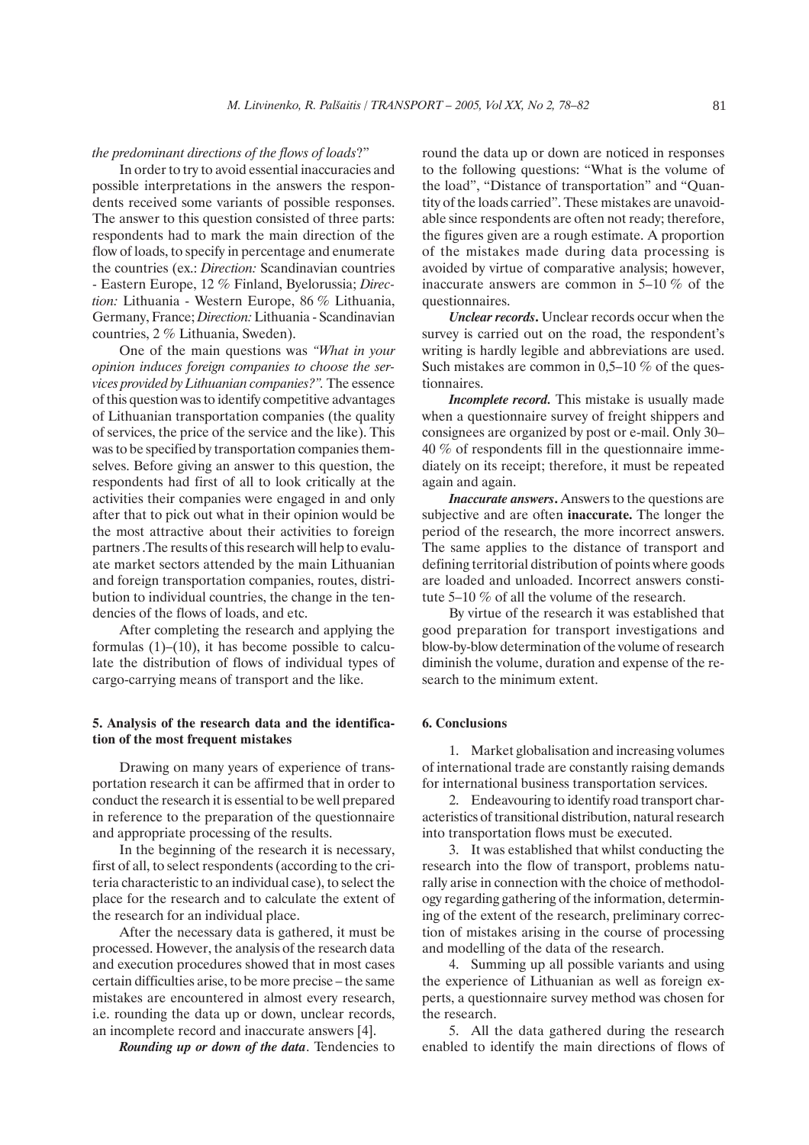#### *the predominant directions of the flows of loads*?"

In order to try to avoid essential inaccuracies and possible interpretations in the answers the respondents received some variants of possible responses. The answer to this question consisted of three parts: respondents had to mark the main direction of the flow of loads, to specify in percentage and enumerate the countries (ex.: *Direction:* Scandinavian countries - Eastern Europe, 12 % Finland, Byelorussia; *Direction:* Lithuania - Western Europe, 86 % Lithuania, Germany, France; *Direction:* Lithuania - Scandinavian countries, 2 % Lithuania, Sweden).

One of the main questions was *"What in your opinion induces foreign companies to choose the services provided by Lithuanian companies?".* The essence of this question was to identify competitive advantages of Lithuanian transportation companies (the quality of services, the price of the service and the like). This was to be specified by transportation companies themselves. Before giving an answer to this question, the respondents had first of all to look critically at the activities their companies were engaged in and only after that to pick out what in their opinion would be the most attractive about their activities to foreign partners .The results of this research will help to evaluate market sectors attended by the main Lithuanian and foreign transportation companies, routes, distribution to individual countries, the change in the tendencies of the flows of loads, and etc.

After completing the research and applying the formulas  $(1)$ – $(10)$ , it has become possible to calculate the distribution of flows of individual types of cargo-carrying means of transport and the like.

### 5. Analysis of the research data and the identification of the most frequent mistakes

Drawing on many years of experience of transportation research it can be affirmed that in order to conduct the research it is essential to be well prepared in reference to the preparation of the questionnaire and appropriate processing of the results.

In the beginning of the research it is necessary, first of all, to select respondents (according to the criteria characteristic to an individual case), to select the place for the research and to calculate the extent of the research for an individual place.

After the necessary data is gathered, it must be processed. However, the analysis of the research data and execution procedures showed that in most cases certain difficulties arise, to be more precise – the same mistakes are encountered in almost every research, i.e. rounding the data up or down, unclear records, an incomplete record and inaccurate answers [4].

*Rounding up or down of the data*. Tendencies to

round the data up or down are noticed in responses to the following questions: "What is the volume of the load", "Distance of transportation" and "Quantity of the loads carried". These mistakes are unavoidable since respondents are often not ready; therefore, the figures given are a rough estimate. A proportion of the mistakes made during data processing is avoided by virtue of comparative analysis; however, inaccurate answers are common in 5–10 % of the questionnaires.

*Unclear records*. Unclear records occur when the survey is carried out on the road, the respondent's writing is hardly legible and abbreviations are used. Such mistakes are common in 0,5–10 % of the questionnaires.

*Incomplete record.* This mistake is usually made when a questionnaire survey of freight shippers and consignees are organized by post or e-mail. Only 30– 40 % of respondents fill in the questionnaire immediately on its receipt; therefore, it must be repeated again and again.

*Inaccurate answers*. Answers to the questions are subjective and are often inaccurate. The longer the period of the research, the more incorrect answers. The same applies to the distance of transport and defining territorial distribution of points where goods are loaded and unloaded. Incorrect answers constitute 5–10 % of all the volume of the research.

By virtue of the research it was established that good preparation for transport investigations and blow-by-blow determination of the volume of research diminish the volume, duration and expense of the research to the minimum extent.

# 6. Conclusions

1. Market globalisation and increasing volumes of international trade are constantly raising demands for international business transportation services.

2. Endeavouring to identify road transport characteristics of transitional distribution, natural research into transportation flows must be executed.

3. It was established that whilst conducting the research into the flow of transport, problems naturally arise in connection with the choice of methodology regarding gathering of the information, determining of the extent of the research, preliminary correction of mistakes arising in the course of processing and modelling of the data of the research.

4. Summing up all possible variants and using the experience of Lithuanian as well as foreign experts, a questionnaire survey method was chosen for the research.

5. All the data gathered during the research enabled to identify the main directions of flows of